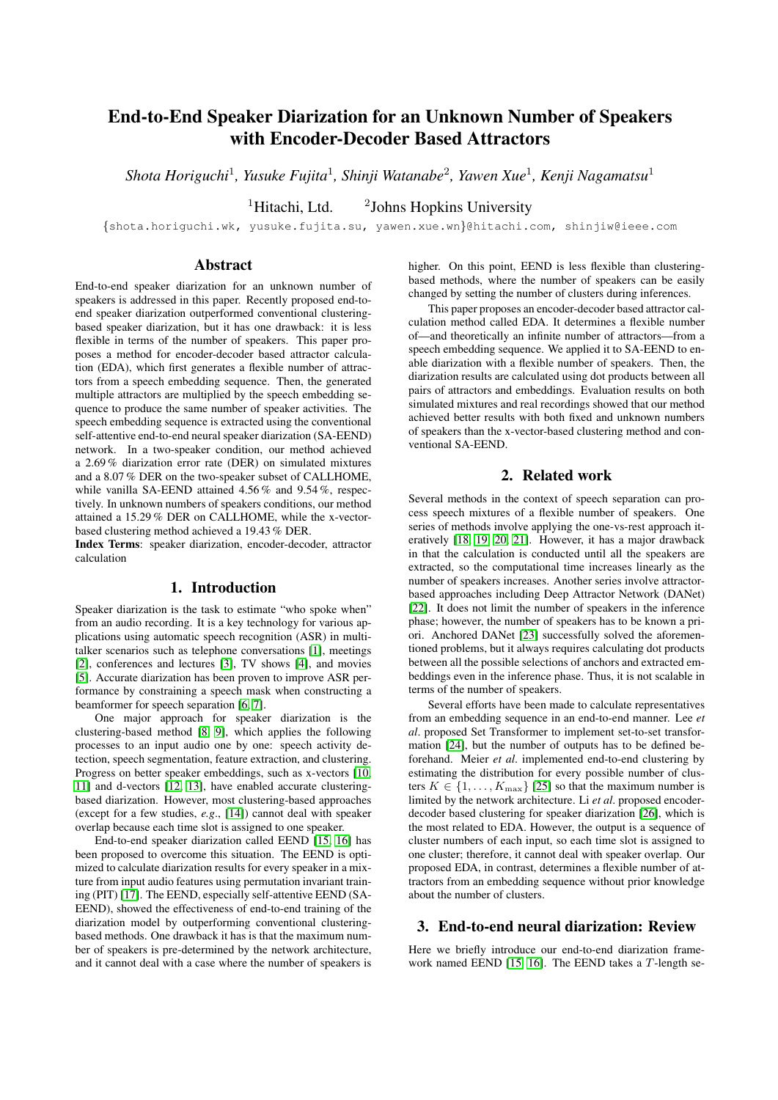# End-to-End Speaker Diarization for an Unknown Number of Speakers with Encoder-Decoder Based Attractors

Shota Horiguchi<sup>1</sup>, Yusuke Fujita<sup>1</sup>, Shinji Watanabe<sup>2</sup>, Yawen Xue<sup>1</sup>, Kenji Nagamatsu<sup>1</sup>

<sup>1</sup>Hitachi, Ltd. <sup>2</sup>Johns Hopkins University

{shota.horiguchi.wk, yusuke.fujita.su, yawen.xue.wn}@hitachi.com, shinjiw@ieee.com

# Abstract

End-to-end speaker diarization for an unknown number of speakers is addressed in this paper. Recently proposed end-toend speaker diarization outperformed conventional clusteringbased speaker diarization, but it has one drawback: it is less flexible in terms of the number of speakers. This paper proposes a method for encoder-decoder based attractor calculation (EDA), which first generates a flexible number of attractors from a speech embedding sequence. Then, the generated multiple attractors are multiplied by the speech embedding sequence to produce the same number of speaker activities. The speech embedding sequence is extracted using the conventional self-attentive end-to-end neural speaker diarization (SA-EEND) network. In a two-speaker condition, our method achieved a 2.69 % diarization error rate (DER) on simulated mixtures and a 8.07 % DER on the two-speaker subset of CALLHOME, while vanilla SA-EEND attained 4.56 % and 9.54 %, respectively. In unknown numbers of speakers conditions, our method attained a 15.29 % DER on CALLHOME, while the x-vectorbased clustering method achieved a 19.43 % DER.

Index Terms: speaker diarization, encoder-decoder, attractor calculation

#### 1. Introduction

Speaker diarization is the task to estimate "who spoke when" from an audio recording. It is a key technology for various applications using automatic speech recognition (ASR) in multitalker scenarios such as telephone conversations [\[1\]](#page-4-0), meetings [\[2\]](#page-4-1), conferences and lectures [\[3\]](#page-4-2), TV shows [\[4\]](#page-4-3), and movies [\[5\]](#page-4-4). Accurate diarization has been proven to improve ASR performance by constraining a speech mask when constructing a beamformer for speech separation [\[6,](#page-4-5) [7\]](#page-4-6).

One major approach for speaker diarization is the clustering-based method [\[8,](#page-4-7) [9\]](#page-4-8), which applies the following processes to an input audio one by one: speech activity detection, speech segmentation, feature extraction, and clustering. Progress on better speaker embeddings, such as x-vectors [\[10,](#page-4-9) [11\]](#page-4-10) and d-vectors [\[12,](#page-4-11) [13\]](#page-4-12), have enabled accurate clusteringbased diarization. However, most clustering-based approaches (except for a few studies, *e.g*., [\[14\]](#page-4-13)) cannot deal with speaker overlap because each time slot is assigned to one speaker.

End-to-end speaker diarization called EEND [\[15,](#page-4-14) [16\]](#page-4-15) has been proposed to overcome this situation. The EEND is optimized to calculate diarization results for every speaker in a mixture from input audio features using permutation invariant training (PIT) [\[17\]](#page-4-16). The EEND, especially self-attentive EEND (SA-EEND), showed the effectiveness of end-to-end training of the diarization model by outperforming conventional clusteringbased methods. One drawback it has is that the maximum number of speakers is pre-determined by the network architecture, and it cannot deal with a case where the number of speakers is higher. On this point, EEND is less flexible than clusteringbased methods, where the number of speakers can be easily changed by setting the number of clusters during inferences.

This paper proposes an encoder-decoder based attractor calculation method called EDA. It determines a flexible number of—and theoretically an infinite number of attractors—from a speech embedding sequence. We applied it to SA-EEND to enable diarization with a flexible number of speakers. Then, the diarization results are calculated using dot products between all pairs of attractors and embeddings. Evaluation results on both simulated mixtures and real recordings showed that our method achieved better results with both fixed and unknown numbers of speakers than the x-vector-based clustering method and conventional SA-EEND.

### 2. Related work

Several methods in the context of speech separation can process speech mixtures of a flexible number of speakers. One series of methods involve applying the one-vs-rest approach iteratively [\[18,](#page-4-17) [19,](#page-4-18) [20,](#page-4-19) [21\]](#page-4-20). However, it has a major drawback in that the calculation is conducted until all the speakers are extracted, so the computational time increases linearly as the number of speakers increases. Another series involve attractorbased approaches including Deep Attractor Network (DANet) [\[22\]](#page-4-21). It does not limit the number of speakers in the inference phase; however, the number of speakers has to be known a priori. Anchored DANet [\[23\]](#page-4-22) successfully solved the aforementioned problems, but it always requires calculating dot products between all the possible selections of anchors and extracted embeddings even in the inference phase. Thus, it is not scalable in terms of the number of speakers.

Several efforts have been made to calculate representatives from an embedding sequence in an end-to-end manner. Lee *et al*. proposed Set Transformer to implement set-to-set transformation [\[24\]](#page-4-23), but the number of outputs has to be defined beforehand. Meier *et al*. implemented end-to-end clustering by estimating the distribution for every possible number of clusters  $K \in \{1, \ldots, K_{\text{max}}\}$  [\[25\]](#page-4-24) so that the maximum number is limited by the network architecture. Li *et al*. proposed encoderdecoder based clustering for speaker diarization [\[26\]](#page-4-25), which is the most related to EDA. However, the output is a sequence of cluster numbers of each input, so each time slot is assigned to one cluster; therefore, it cannot deal with speaker overlap. Our proposed EDA, in contrast, determines a flexible number of attractors from an embedding sequence without prior knowledge about the number of clusters.

### 3. End-to-end neural diarization: Review

Here we briefly introduce our end-to-end diarization frame-work named EEND [\[15,](#page-4-14) [16\]](#page-4-15). The EEND takes a  $T$ -length se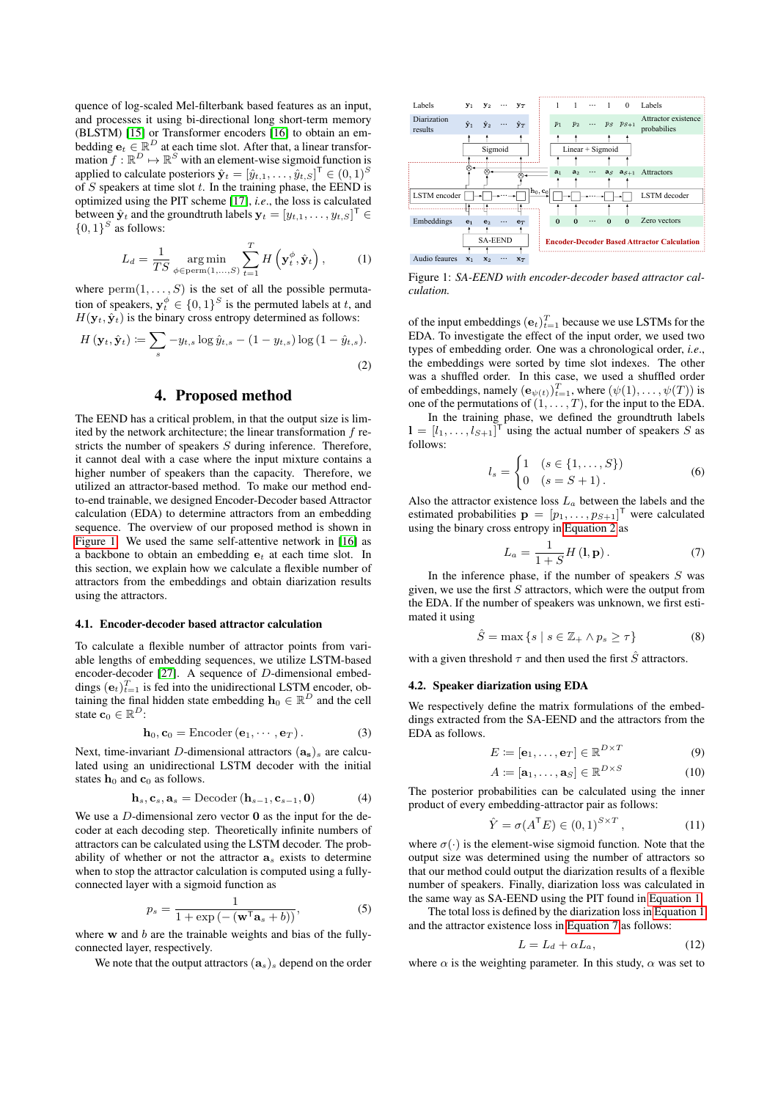quence of log-scaled Mel-filterbank based features as an input, and processes it using bi-directional long short-term memory (BLSTM) [\[15\]](#page-4-14) or Transformer encoders [\[16\]](#page-4-15) to obtain an embedding  $\mathbf{e}_t \in \mathbb{R}^D$  at each time slot. After that, a linear transformation  $f : \mathbb{R}^D \mapsto \mathbb{R}^S$  with an element-wise sigmoid function is applied to calculate posteriors  $\hat{\mathbf{y}}_t = [\hat{y}_{t,1}, \dots, \hat{y}_{t,S}]^\textsf{T} \in (0,1)^S$ of  $S$  speakers at time slot  $t$ . In the training phase, the EEND is optimized using the PIT scheme [\[17\]](#page-4-16), *i.e*., the loss is calculated between  $\hat{\mathbf{y}}_t$  and the groundtruth labels  $\mathbf{y}_t = [y_{t,1}, \dots, y_{t,S}]^\mathsf{T} \in$  ${0,1}^S$  as follows:

$$
L_d = \frac{1}{TS} \operatorname*{arg\,min}_{\phi \in \text{perm}(1,\dots,S)} \sum_{t=1}^{T} H\left(\mathbf{y}_t^{\phi}, \hat{\mathbf{y}}_t\right),\tag{1}
$$

where  $\text{perm}(1,\ldots,S)$  is the set of all the possible permutation of speakers,  $y_t^{\phi} \in \{0,1\}^S$  is the permuted labels at t, and  $H(\mathbf{y}_t, \hat{\mathbf{y}}_t)$  is the binary cross entropy determined as follows:

$$
H\left(\mathbf{y}_t, \hat{\mathbf{y}}_t\right) := \sum_{s} -y_{t,s} \log \hat{y}_{t,s} - (1 - y_{t,s}) \log (1 - \hat{y}_{t,s}).
$$
\n(2)

# 4. Proposed method

The EEND has a critical problem, in that the output size is limited by the network architecture; the linear transformation  $f$  restricts the number of speakers  $S$  during inference. Therefore, it cannot deal with a case where the input mixture contains a higher number of speakers than the capacity. Therefore, we utilized an attractor-based method. To make our method endto-end trainable, we designed Encoder-Decoder based Attractor calculation (EDA) to determine attractors from an embedding sequence. The overview of our proposed method is shown in [Figure 1.](#page-1-0) We used the same self-attentive network in [\[16\]](#page-4-15) as a backbone to obtain an embedding  $e_t$  at each time slot. In this section, we explain how we calculate a flexible number of attractors from the embeddings and obtain diarization results using the attractors.

#### <span id="page-1-5"></span>4.1. Encoder-decoder based attractor calculation

To calculate a flexible number of attractor points from variable lengths of embedding sequences, we utilize LSTM-based encoder-decoder [\[27\]](#page-4-26). A sequence of D-dimensional embeddings  $(e_t)_{t=1}^T$  is fed into the unidirectional LSTM encoder, obtaining the final hidden state embedding  $\mathbf{h}_0 \in \mathbb{R}^D$  and the cell state  $\mathbf{c}_0 \in \mathbb{R}^D$ :

$$
\mathbf{h}_0, \mathbf{c}_0 = \text{Encoder}(\mathbf{e}_1, \cdots, \mathbf{e}_T). \tag{3}
$$

Next, time-invariant D-dimensional attractors  $(a_s)_s$  are calculated using an unidirectional LSTM decoder with the initial states  $h_0$  and  $c_0$  as follows.

$$
\mathbf{h}_s, \mathbf{c}_s, \mathbf{a}_s = \text{Decoder}(\mathbf{h}_{s-1}, \mathbf{c}_{s-1}, \mathbf{0}) \tag{4}
$$

We use a  $D$ -dimensional zero vector  $\bf{0}$  as the input for the decoder at each decoding step. Theoretically infinite numbers of attractors can be calculated using the LSTM decoder. The probability of whether or not the attractor  $a<sub>s</sub>$  exists to determine when to stop the attractor calculation is computed using a fullyconnected layer with a sigmoid function as

$$
p_s = \frac{1}{1 + \exp\left(-\left(\mathbf{w}^{\mathsf{T}}\mathbf{a}_s + b\right)\right)},\tag{5}
$$

where  $w$  and  $b$  are the trainable weights and bias of the fullyconnected layer, respectively.

We note that the output attractors  $(a_s)$  depend on the order

<span id="page-1-0"></span>

<span id="page-1-2"></span>Figure 1: *SA-EEND with encoder-decoder based attractor calculation.*

<span id="page-1-1"></span>of the input embeddings  $(e_t)_{t=1}^T$  because we use LSTMs for the EDA. To investigate the effect of the input order, we used two types of embedding order. One was a chronological order, *i.e*., the embeddings were sorted by time slot indexes. The other was a shuffled order. In this case, we used a shuffled order of embeddings, namely  $(\mathbf{e}_{\psi(t)})_{t=1}^T$ , where  $(\psi(1), \dots, \psi(T))$  is one of the permutations of  $(1, \ldots, T)$ , for the input to the EDA.

In the training phase, we defined the groundtruth labels  $I = [l_1, \ldots, l_{S+1}]^\mathsf{T}$  using the actual number of speakers S as follows:

$$
l_s = \begin{cases} 1 & (s \in \{1, ..., S\}) \\ 0 & (s = S + 1). \end{cases}
$$
 (6)

Also the attractor existence loss  $L_a$  between the labels and the estimated probabilities  $\mathbf{p} = [p_1, \dots, p_{S+1}]^{\mathsf{T}}$  were calculated using the binary cross entropy in [Equation 2](#page-1-1) as

<span id="page-1-4"></span><span id="page-1-3"></span>
$$
L_a = \frac{1}{1+S} H\left(\mathbf{l}, \mathbf{p}\right). \tag{7}
$$

In the inference phase, if the number of speakers  $S$  was given, we use the first  $S$  attractors, which were the output from the EDA. If the number of speakers was unknown, we first estimated it using

$$
\hat{S} = \max\left\{s \mid s \in \mathbb{Z}_+ \land p_s \geq \tau\right\} \tag{8}
$$

with a given threshold  $\tau$  and then used the first  $\hat{S}$  attractors.

#### 4.2. Speaker diarization using EDA

We respectively define the matrix formulations of the embeddings extracted from the SA-EEND and the attractors from the EDA as follows.

$$
E \coloneqq [\mathbf{e}_1, \dots, \mathbf{e}_T] \in \mathbb{R}^{D \times T} \tag{9}
$$

$$
A \coloneqq [\mathbf{a}_1, \dots, \mathbf{a}_S] \in \mathbb{R}^{D \times S} \tag{10}
$$

The posterior probabilities can be calculated using the inner product of every embedding-attractor pair as follows:

$$
\hat{Y} = \sigma(A^{\mathsf{T}}E) \in (0,1)^{S \times T},\tag{11}
$$

where  $\sigma(\cdot)$  is the element-wise sigmoid function. Note that the output size was determined using the number of attractors so that our method could output the diarization results of a flexible number of speakers. Finally, diarization loss was calculated in the same way as SA-EEND using the PIT found in [Equation 1.](#page-1-2)

The total loss is defined by the diarization loss in [Equation 1](#page-1-2) and the attractor existence loss in [Equation 7](#page-1-3) as follows:

$$
L = L_d + \alpha L_a,\tag{12}
$$

where  $\alpha$  is the weighting parameter. In this study,  $\alpha$  was set to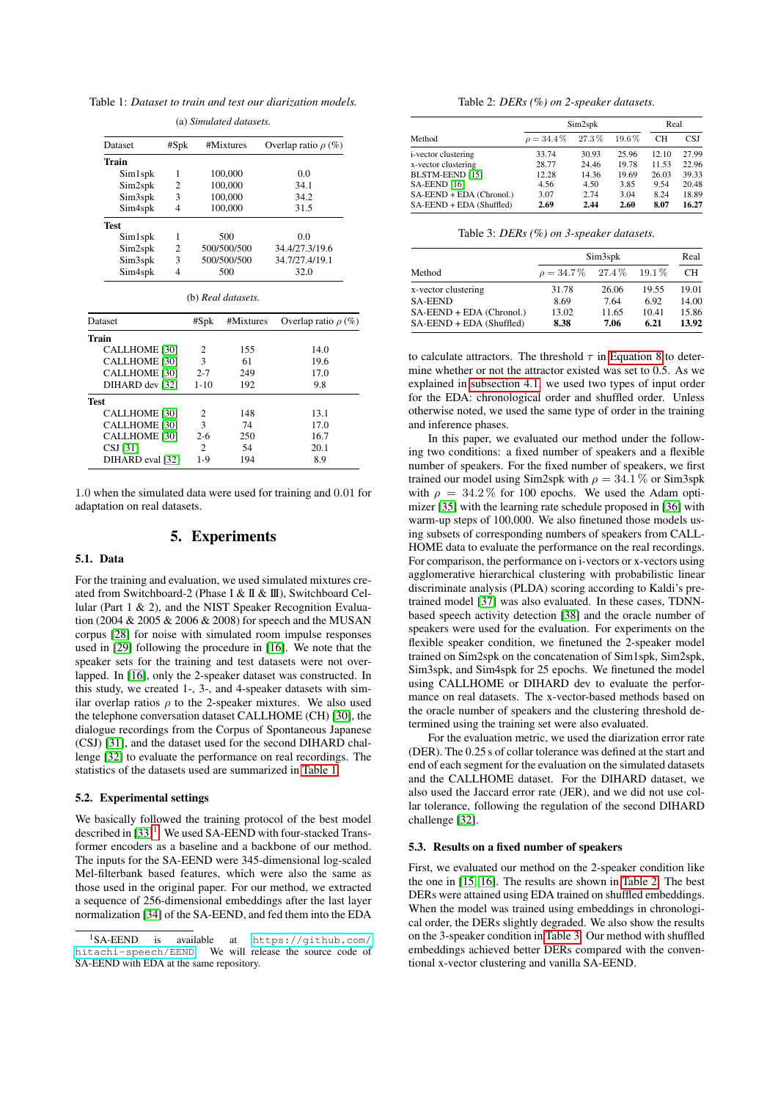<span id="page-2-0"></span>Table 1: *Dataset to train and test our diarization models.* (a) *Simulated datasets.*

| Dataset                  | #Spk           | #Mixtures |                    | Overlap ratio $\rho$ (%) |  |
|--------------------------|----------------|-----------|--------------------|--------------------------|--|
| Train                    |                |           |                    |                          |  |
| Sim1spk                  | 1              |           | 100,000            | 0.0                      |  |
| Sim2spk                  | 2              |           | 100,000            | 34.1                     |  |
| Sim3spk                  | 3              |           | 100,000            | 34.2                     |  |
| Sim4spk                  | $\overline{4}$ |           | 100,000            | 31.5                     |  |
| <b>Test</b>              |                |           |                    |                          |  |
| Sim1spk                  | 1              |           | 500                | 0.0                      |  |
| Sim2spk                  | 2              |           | 500/500/500        | 34.4/27.3/19.6           |  |
| Sim3spk                  | 3              |           | 500/500/500        | 34.7/27.4/19.1           |  |
| Sim4spk                  | $\overline{4}$ | 500       |                    | 32.0                     |  |
|                          |                |           | (b) Real datasets. |                          |  |
| Dataset                  |                | #Spk      | #Mixtures          | Overlap ratio $\rho$ (%) |  |
| Train                    |                |           |                    |                          |  |
| <b>CALLHOME</b> [30]     |                | 2         | 155                | 14.0                     |  |
| CALLHOME <sup>[30]</sup> |                | 3         | 61                 | 19.6                     |  |
| CALLHOME <sup>[30]</sup> |                | $2 - 7$   | 249                | 17.0                     |  |
| DIHARD dev [32]          |                | $1 - 10$  | 192                | 9.8                      |  |
| Test                     |                |           |                    |                          |  |
| <b>CALLHOME</b> [30]     |                | 2         | 148                | 13.1                     |  |
| <b>CALLHOME</b> [30]     |                | 3         | 74                 | 17.0                     |  |
| CALLHOME <sup>[30]</sup> |                | $2 - 6$   | 250                | 16.7                     |  |
| CSJ [31]                 |                | 2         | 54                 | 20.1                     |  |
|                          |                |           |                    |                          |  |

1.0 when the simulated data were used for training and 0.01 for adaptation on real datasets.

### 5. Experiments

#### 5.1. Data

For the training and evaluation, we used simulated mixtures created from Switchboard-2 (Phase I & II & III), Switchboard Cellular (Part 1 & 2), and the NIST Speaker Recognition Evaluation (2004 & 2005 & 2006 & 2008) for speech and the MUSAN corpus [\[28\]](#page-4-30) for noise with simulated room impulse responses used in [\[29\]](#page-4-31) following the procedure in [\[16\]](#page-4-15). We note that the speaker sets for the training and test datasets were not overlapped. In [\[16\]](#page-4-15), only the 2-speaker dataset was constructed. In this study, we created 1-, 3-, and 4-speaker datasets with similar overlap ratios  $\rho$  to the 2-speaker mixtures. We also used the telephone conversation dataset CALLHOME (CH) [\[30\]](#page-4-27), the dialogue recordings from the Corpus of Spontaneous Japanese (CSJ) [\[31\]](#page-4-29), and the dataset used for the second DIHARD challenge [\[32\]](#page-4-28) to evaluate the performance on real recordings. The statistics of the datasets used are summarized in [Table 1.](#page-2-0)

#### 5.2. Experimental settings

We basically followed the training protocol of the best model described in  $[33]$ <sup>[1](#page-2-1)</sup>. We used SA-EEND with four-stacked Transformer encoders as a baseline and a backbone of our method. The inputs for the SA-EEND were 345-dimensional log-scaled Mel-filterbank based features, which were also the same as those used in the original paper. For our method, we extracted a sequence of 256-dimensional embeddings after the last layer normalization [\[34\]](#page-4-33) of the SA-EEND, and fed them into the EDA

<span id="page-2-2"></span>

|                             | Sim2spk         | Real     |          |       |       |
|-----------------------------|-----------------|----------|----------|-------|-------|
| Method                      | $\rho = 34.4\%$ | $27.3\%$ | $19.6\%$ | CН    | CSJ   |
| <i>i</i> -vector clustering | 33.74           | 30.93    | 25.96    | 12.10 | 27.99 |
| x-vector clustering         | 28.77           | 24.46    | 19.78    | 11.53 | 22.96 |
| BLSTM-EEND [15]             | 12.28           | 14.36    | 19.69    | 26.03 | 39.33 |
| SA-EEND [16]                | 4.56            | 4.50     | 3.85     | 9.54  | 20.48 |
| SA-EEND + EDA (Chronol.)    | 3.07            | 2.74     | 3.04     | 8.24  | 18.89 |
| SA-EEND + EDA (Shuffled)    | 2.69            | 2.44     | 2.60     | 8.07  | 16.27 |

Table 3: *DERs (%) on 3-speaker datasets.*

<span id="page-2-3"></span>

|                          | Sim3spk               | Real  |          |                |
|--------------------------|-----------------------|-------|----------|----------------|
| Method                   | $\rho = 34.7\%$ 27.4% |       | $19.1\%$ | CH <sub></sub> |
| x-vector clustering      | 31.78                 | 26.06 | 19.55    | 19.01          |
| <b>SA-EEND</b>           | 8.69                  | 7.64  | 6.92     | 14.00          |
| SA-EEND + EDA (Chronol.) | 13.02                 | 11.65 | 10.41    | 15.86          |
| SA-EEND + EDA (Shuffled) | 8.38                  | 7.06  | 6.21     | 13.92          |

to calculate attractors. The threshold  $\tau$  in [Equation 8](#page-1-4) to determine whether or not the attractor existed was set to 0.5. As we explained in [subsection 4.1,](#page-1-5) we used two types of input order for the EDA: chronological order and shuffled order. Unless otherwise noted, we used the same type of order in the training and inference phases.

In this paper, we evaluated our method under the following two conditions: a fixed number of speakers and a flexible number of speakers. For the fixed number of speakers, we first trained our model using Sim2spk with  $\rho = 34.1\%$  or Sim3spk with  $\rho = 34.2\%$  for 100 epochs. We used the Adam optimizer [\[35\]](#page-4-34) with the learning rate schedule proposed in [\[36\]](#page-4-35) with warm-up steps of 100,000. We also finetuned those models using subsets of corresponding numbers of speakers from CALL-HOME data to evaluate the performance on the real recordings. For comparison, the performance on i-vectors or x-vectors using agglomerative hierarchical clustering with probabilistic linear discriminate analysis (PLDA) scoring according to Kaldi's pretrained model [\[37\]](#page-4-36) was also evaluated. In these cases, TDNNbased speech activity detection [\[38\]](#page-4-37) and the oracle number of speakers were used for the evaluation. For experiments on the flexible speaker condition, we finetuned the 2-speaker model trained on Sim2spk on the concatenation of Sim1spk, Sim2spk, Sim3spk, and Sim4spk for 25 epochs. We finetuned the model using CALLHOME or DIHARD dev to evaluate the performance on real datasets. The x-vector-based methods based on the oracle number of speakers and the clustering threshold determined using the training set were also evaluated.

For the evaluation metric, we used the diarization error rate (DER). The 0.25 s of collar tolerance was defined at the start and end of each segment for the evaluation on the simulated datasets and the CALLHOME dataset. For the DIHARD dataset, we also used the Jaccard error rate (JER), and we did not use collar tolerance, following the regulation of the second DIHARD challenge [\[32\]](#page-4-28).

#### 5.3. Results on a fixed number of speakers

First, we evaluated our method on the 2-speaker condition like the one in [\[15,](#page-4-14) [16\]](#page-4-15). The results are shown in [Table 2.](#page-2-2) The best DERs were attained using EDA trained on shuffled embeddings. When the model was trained using embeddings in chronological order, the DERs slightly degraded. We also show the results on the 3-speaker condition in [Table 3.](#page-2-3) Our method with shuffled embeddings achieved better DERs compared with the conventional x-vector clustering and vanilla SA-EEND.

<span id="page-2-1"></span><sup>1</sup>SA-EEND is available at [https://github.com/](https://github.com/hitachi-speech/EEND) [hitachi-speech/EEND](https://github.com/hitachi-speech/EEND). We will release the source code of SA-EEND with EDA at the same repository.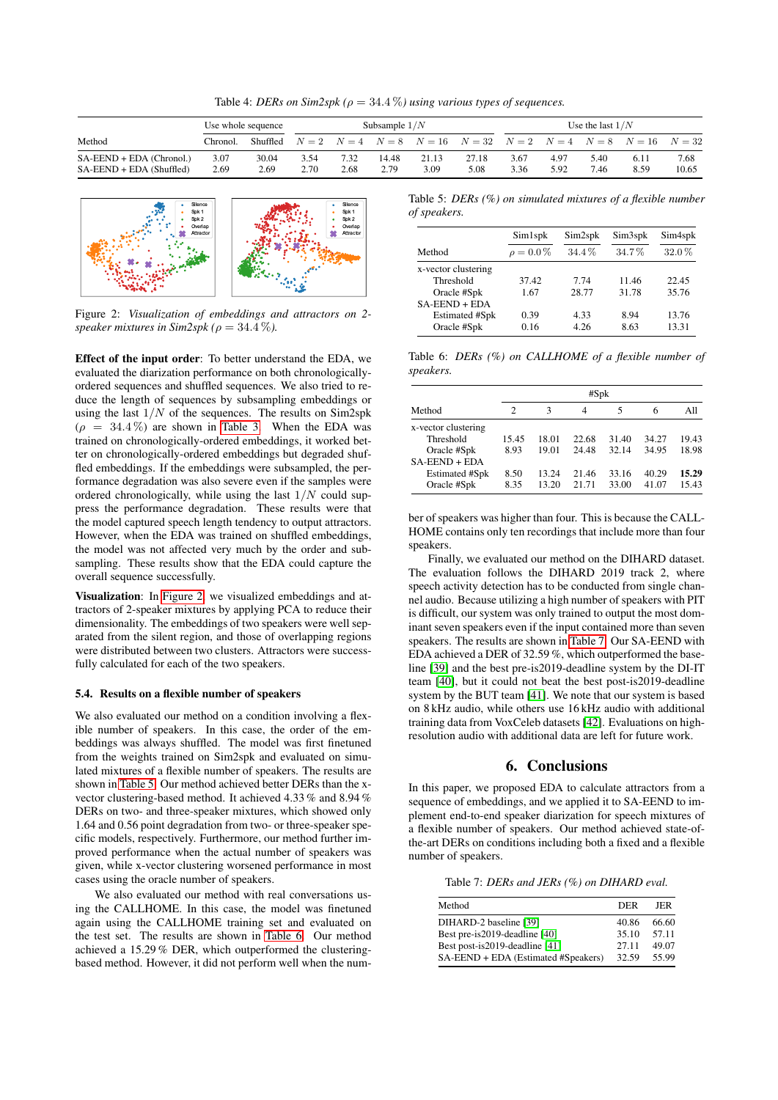Table 4: *DERs on Sim2spk* ( $\rho = 34.4\%$ ) using various types of sequences.

|                                                        |              | Use whole sequence | Subsample $1/N$ |              |               | Use the last $1/N$                                                                  |               |              |              |              |              |               |
|--------------------------------------------------------|--------------|--------------------|-----------------|--------------|---------------|-------------------------------------------------------------------------------------|---------------|--------------|--------------|--------------|--------------|---------------|
| Method                                                 | Chronol.     | Shuffled           |                 |              |               | $N = 2$ $N = 4$ $N = 8$ $N = 16$ $N = 32$ $N = 2$ $N = 4$ $N = 8$ $N = 16$ $N = 32$ |               |              |              |              |              |               |
| SA-EEND + EDA (Chronol.)<br>$SA-EEND + EDA$ (Shuffled) | 3.07<br>2.69 | 30.04<br>2.69      | 3.54<br>2.70    | 7.32<br>2.68 | 14.48<br>2.79 | 21.13<br>3.09                                                                       | 27.18<br>5.08 | 3.67<br>3.36 | 4.97<br>5.92 | 5.40<br>7.46 | 6.11<br>8.59 | 7.68<br>10.65 |

<span id="page-3-0"></span>

Figure 2: *Visualization of embeddings and attractors on 2 speaker mixtures in Sim2spk (* $\rho = 34.4\%$ *).* 

Effect of the input order: To better understand the EDA, we evaluated the diarization performance on both chronologicallyordered sequences and shuffled sequences. We also tried to reduce the length of sequences by subsampling embeddings or using the last  $1/N$  of the sequences. The results on Sim2spk  $(\rho = 34.4\%)$  are shown in [Table 3.](#page-2-3) When the EDA was trained on chronologically-ordered embeddings, it worked better on chronologically-ordered embeddings but degraded shuffled embeddings. If the embeddings were subsampled, the performance degradation was also severe even if the samples were ordered chronologically, while using the last  $1/N$  could suppress the performance degradation. These results were that the model captured speech length tendency to output attractors. However, when the EDA was trained on shuffled embeddings, the model was not affected very much by the order and subsampling. These results show that the EDA could capture the overall sequence successfully.

Visualization: In [Figure 2,](#page-3-0) we visualized embeddings and attractors of 2-speaker mixtures by applying PCA to reduce their dimensionality. The embeddings of two speakers were well separated from the silent region, and those of overlapping regions were distributed between two clusters. Attractors were successfully calculated for each of the two speakers.

#### 5.4. Results on a flexible number of speakers

We also evaluated our method on a condition involving a flexible number of speakers. In this case, the order of the embeddings was always shuffled. The model was first finetuned from the weights trained on Sim2spk and evaluated on simulated mixtures of a flexible number of speakers. The results are shown in [Table 5.](#page-3-1) Our method achieved better DERs than the xvector clustering-based method. It achieved 4.33 % and 8.94 % DERs on two- and three-speaker mixtures, which showed only 1.64 and 0.56 point degradation from two- or three-speaker specific models, respectively. Furthermore, our method further improved performance when the actual number of speakers was given, while x-vector clustering worsened performance in most cases using the oracle number of speakers.

We also evaluated our method with real conversations using the CALLHOME. In this case, the model was finetuned again using the CALLHOME training set and evaluated on the test set. The results are shown in [Table 6.](#page-3-2) Our method achieved a 15.29 % DER, which outperformed the clusteringbased method. However, it did not perform well when the num-

<span id="page-3-1"></span>Table 5: *DERs (%) on simulated mixtures of a flexible number of speakers.*

|                       | Sim1spk        | Sim2spk | Sim3spk  | Sim4spk |
|-----------------------|----------------|---------|----------|---------|
| Method                | $\rho = 0.0\%$ | 34.4%   | $34.7\%$ | 32.0%   |
| x-vector clustering   |                |         |          |         |
| Threshold             | 37.42          | 774     | 11.46    | 22.45   |
| Oracle #Spk           | 1.67           | 28.77   | 31.78    | 35.76   |
| $SA-EEND + EDA$       |                |         |          |         |
| <b>Estimated #Spk</b> | 0.39           | 4.33    | 8.94     | 13.76   |
| Oracle #Spk           | 0.16           | 4.26    | 8.63     | 13.31   |

<span id="page-3-2"></span>Table 6: *DERs (%) on CALLHOME of a flexible number of speakers.*

|                     | #Spk  |       |       |       |       |       |  |  |
|---------------------|-------|-------|-------|-------|-------|-------|--|--|
| Method              | 2     | 3     | 4     | 5     | 6     | All   |  |  |
| x-vector clustering |       |       |       |       |       |       |  |  |
| Threshold           | 15.45 | 18.01 | 22.68 | 31.40 | 34.27 | 19.43 |  |  |
| Oracle #Spk         | 8.93  | 19.01 | 24 48 | 32.14 | 34.95 | 18.98 |  |  |
| $SA$ -EEND + EDA    |       |       |       |       |       |       |  |  |
| Estimated #Spk      | 8.50  | 13.24 | 21.46 | 33.16 | 40.29 | 15.29 |  |  |
| Oracle #Spk         | 8.35  | 13.20 | 2171  | 33.00 | 41.07 | 15.43 |  |  |

ber of speakers was higher than four. This is because the CALL-HOME contains only ten recordings that include more than four speakers.

Finally, we evaluated our method on the DIHARD dataset. The evaluation follows the DIHARD 2019 track 2, where speech activity detection has to be conducted from single channel audio. Because utilizing a high number of speakers with PIT is difficult, our system was only trained to output the most dominant seven speakers even if the input contained more than seven speakers. The results are shown in [Table 7.](#page-3-3) Our SA-EEND with EDA achieved a DER of 32.59 %, which outperformed the baseline [\[39\]](#page-4-38) and the best pre-is2019-deadline system by the DI-IT team [\[40\]](#page-4-39), but it could not beat the best post-is2019-deadline system by the BUT team [\[41\]](#page-4-40). We note that our system is based on 8 kHz audio, while others use 16 kHz audio with additional training data from VoxCeleb datasets [\[42\]](#page-4-41). Evaluations on highresolution audio with additional data are left for future work.

## 6. Conclusions

In this paper, we proposed EDA to calculate attractors from a sequence of embeddings, and we applied it to SA-EEND to implement end-to-end speaker diarization for speech mixtures of a flexible number of speakers. Our method achieved state-ofthe-art DERs on conditions including both a fixed and a flexible number of speakers.

<span id="page-3-3"></span>Table 7: *DERs and JERs (%) on DIHARD eval.*

| DER   | JER.  |
|-------|-------|
| 40.86 | 66.60 |
| 35.10 | 57.11 |
| 27.11 | 49.07 |
| 32.59 | 55.99 |
|       |       |